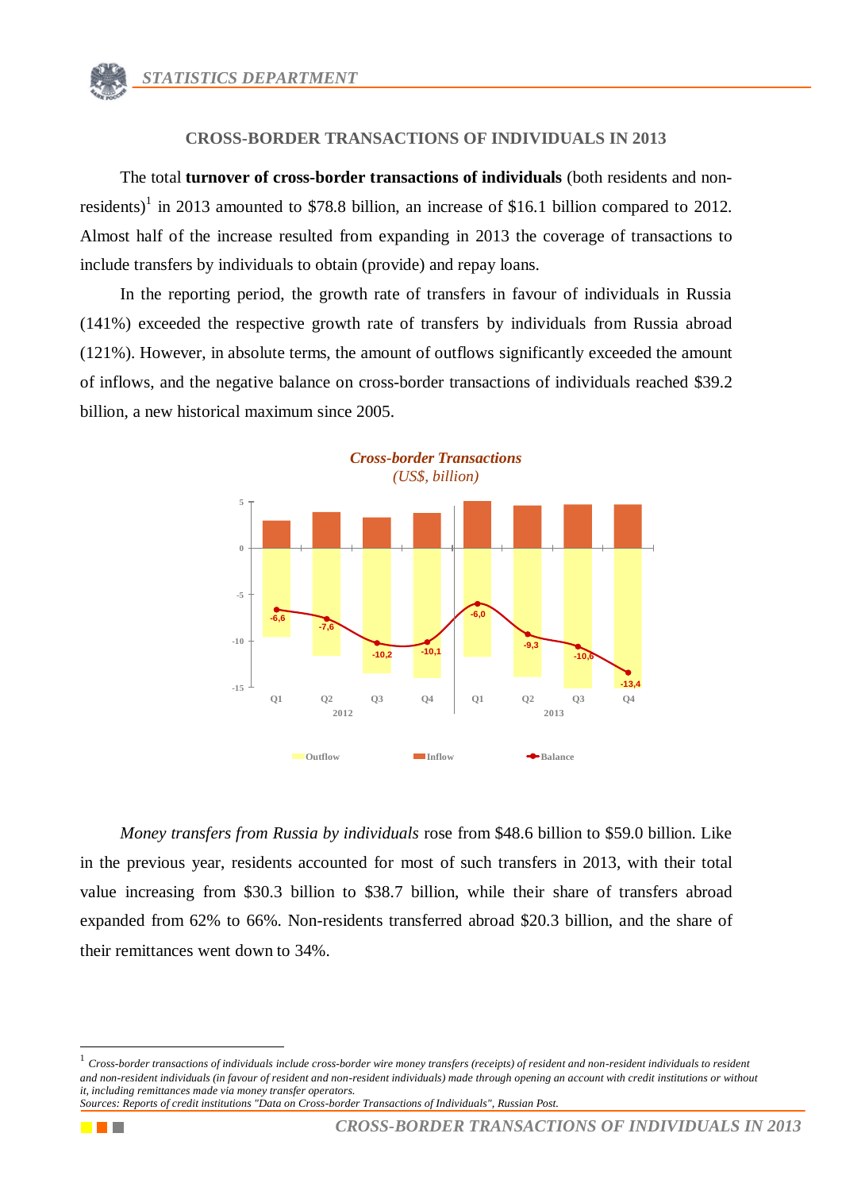## **CROSS-BORDER TRANSACTIONS OF INDIVIDUALS IN 2013**

The total **turnover of cross-border transactions of individuals** (both residents and nonresidents)<sup>1</sup> in 2013 amounted to \$78.8 billion, an increase of \$16.1 billion compared to 2012. Almost half of the increase resulted from expanding in 2013 the coverage of transactions to include transfers by individuals to obtain (provide) and repay loans.

In the reporting period, the growth rate of transfers in favour of individuals in Russia (141%) exceeded the respective growth rate of transfers by individuals from Russia abroad (121%). However, in absolute terms, the amount of outflows significantly exceeded the amount of inflows, and the negative balance on cross-border transactions of individuals reached \$39.2 billion, a new historical maximum since 2005.



*Money transfers from Russia by individuals* rose from \$48.6 billion to \$59.0 billion. Like in the previous year, residents accounted for most of such transfers in 2013, with their total value increasing from \$30.3 billion to \$38.7 billion, while their share of transfers abroad expanded from 62% to 66%. Non-residents transferred abroad \$20.3 billion, and the share of their remittances went down to 34%.



1

<sup>1</sup> *Cross-border transactions of individuals include cross-border wire money transfers (receipts) of resident and non-resident individuals to resident and non-resident individuals (in favour of resident and non-resident individuals) made through opening an account with credit institutions or without it, including remittances made via money transfer operators.*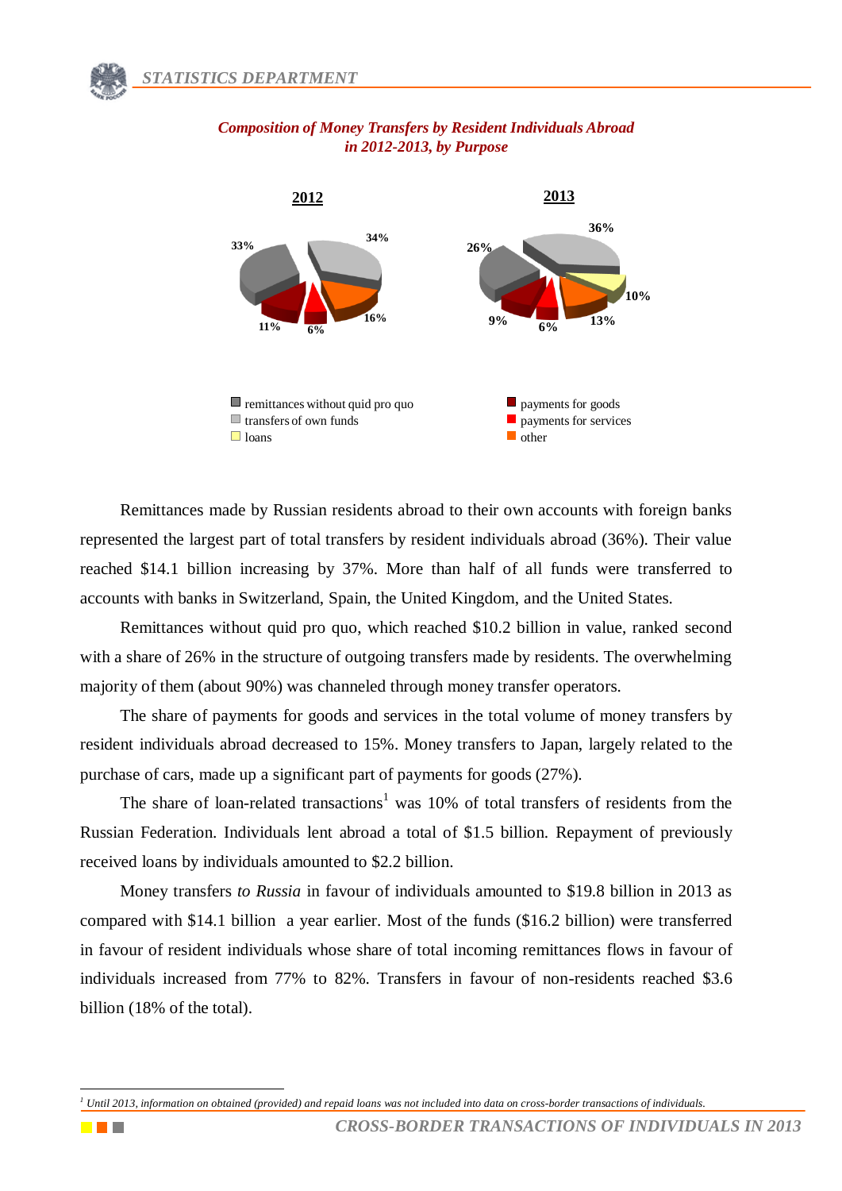

## *Composition of Money Transfers by Resident Individuals Abroad in 2012-2013, by Purpose*

Remittances made by Russian residents abroad to their own accounts with foreign banks represented the largest part of total transfers by resident individuals abroad (36%). Their value reached \$14.1 billion increasing by 37%. More than half of all funds were transferred to accounts with banks in Switzerland, Spain, the United Kingdom, and the United States.

Remittances without quid pro quo, which reached \$10.2 billion in value, ranked second with a share of 26% in the structure of outgoing transfers made by residents. The overwhelming majority of them (about 90%) was channeled through money transfer operators.

The share of payments for goods and services in the total volume of money transfers by resident individuals abroad decreased to 15%. Money transfers to Japan, largely related to the purchase of cars, made up a significant part of payments for goods (27%).

The share of loan-related transactions<sup>1</sup> was 10% of total transfers of residents from the Russian Federation. Individuals lent abroad a total of \$1.5 billion. Repayment of previously received loans by individuals amounted to \$2.2 billion.

Money transfers *to Russia* in favour of individuals amounted to \$19.8 billion in 2013 as compared with \$14.1 billion a year earlier. Most of the funds (\$16.2 billion) were transferred in favour of resident individuals whose share of total incoming remittances flows in favour of individuals increased from 77% to 82%. Transfers in favour of non-residents reached \$3.6 billion (18% of the total).



<sup>1</sup> *<sup>1</sup> Until 2013, information on obtained (provided) and repaid loans was not included into data on cross-border transactions of individuals.*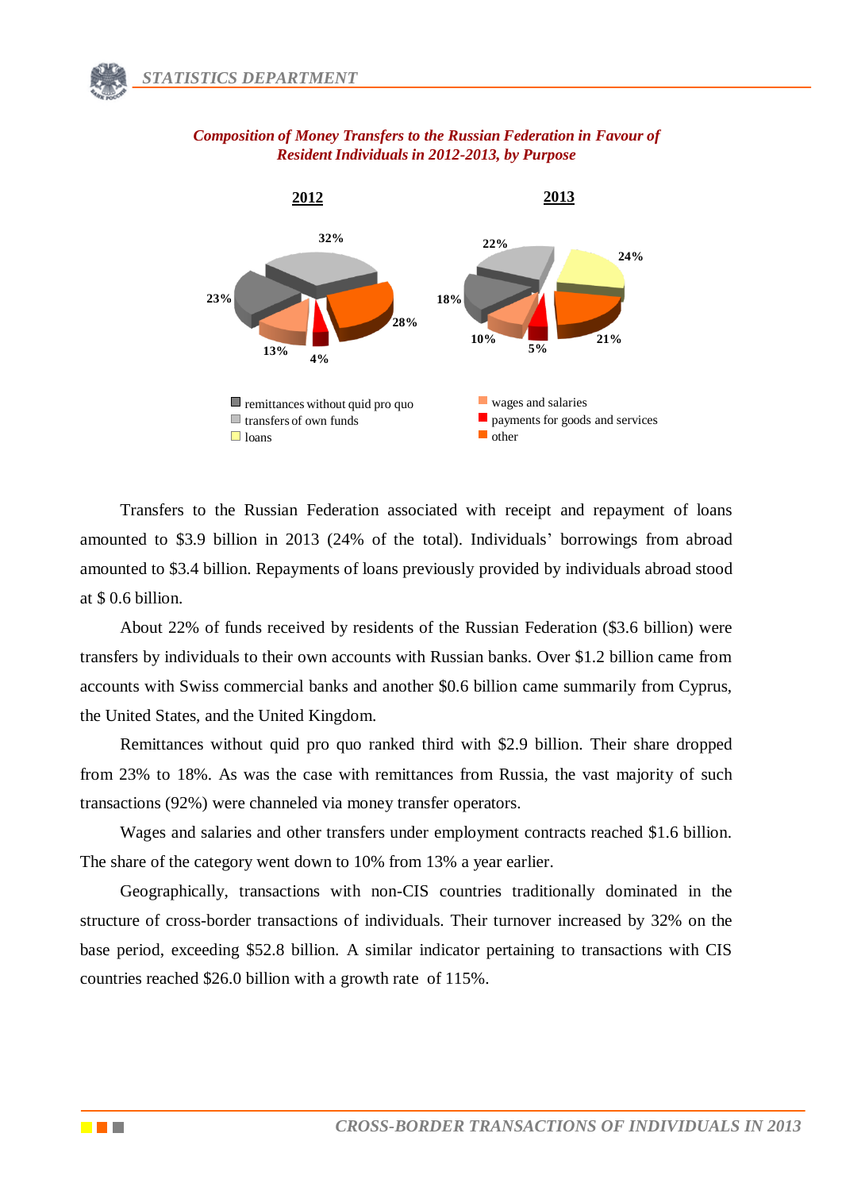

#### *Composition of Money Transfers to the Russian Federation in Favour of Resident Individuals in 2012-2013, by Purpose*

Transfers to the Russian Federation associated with receipt and repayment of loans amounted to \$3.9 billion in 2013 (24% of the total). Individuals' borrowings from abroad amounted to \$3.4 billion. Repayments of loans previously provided by individuals abroad stood at \$ 0.6 billion.

About 22% of funds received by residents of the Russian Federation (\$3.6 billion) were transfers by individuals to their own accounts with Russian banks. Over \$1.2 billion came from accounts with Swiss commercial banks and another \$0.6 billion came summarily from Cyprus, the United States, and the United Kingdom.

Remittances without quid pro quo ranked third with \$2.9 billion. Their share dropped from 23% to 18%. As was the case with remittances from Russia, the vast majority of such transactions (92%) were channeled via money transfer operators.

Wages and salaries and other transfers under employment contracts reached \$1.6 billion. The share of the category went down to 10% from 13% a year earlier.

Geographically, transactions with non-CIS countries traditionally dominated in the structure of cross-border transactions of individuals. Their turnover increased by 32% on the base period, exceeding \$52.8 billion. A similar indicator pertaining to transactions with CIS countries reached \$26.0 billion with a growth rate of 115%.

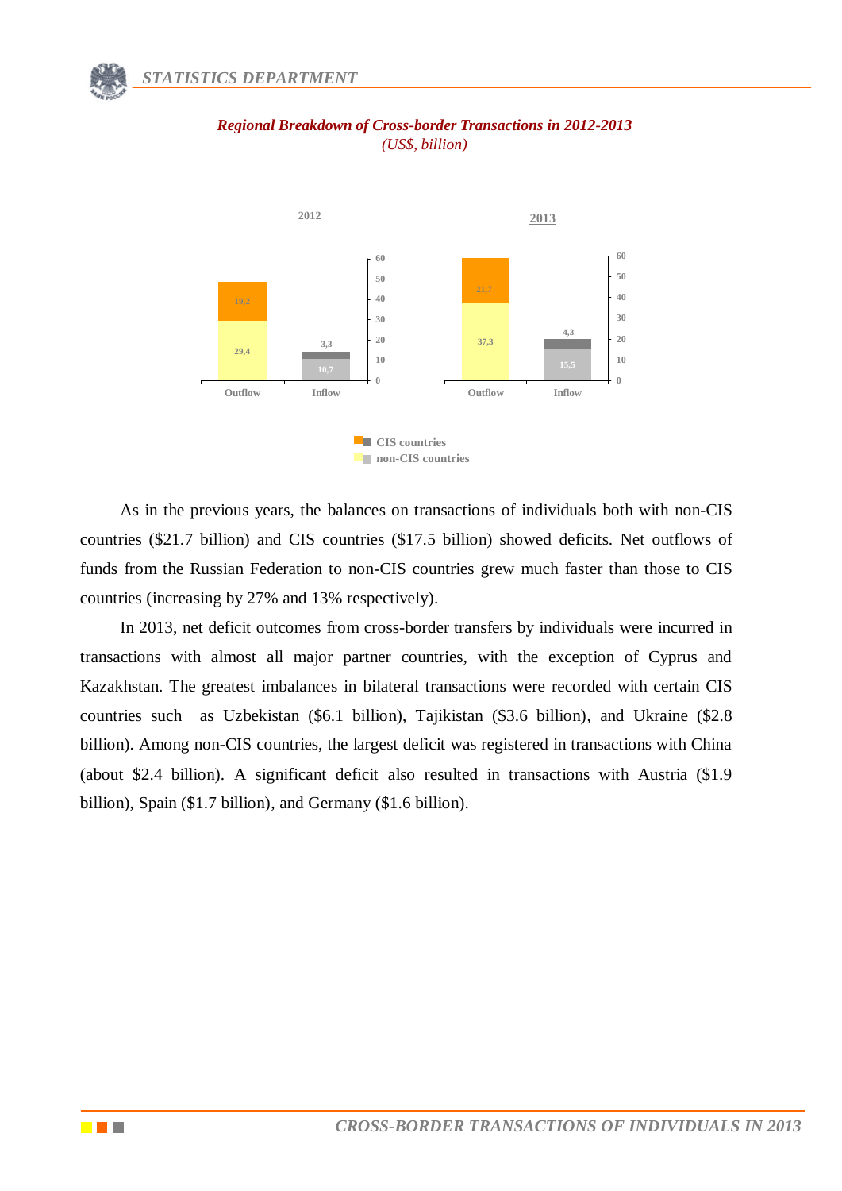

# *Regional Breakdown of Cross-border Transactions in 2012-2013 (US\$, billion)*

As in the previous years, the balances on transactions of individuals both with non-CIS countries (\$21.7 billion) and CIS countries (\$17.5 billion) showed deficits. Net outflows of funds from the Russian Federation to non-CIS countries grew much faster than those to CIS countries (increasing by 27% and 13% respectively).

In 2013, net deficit outcomes from cross-border transfers by individuals were incurred in transactions with almost all major partner countries, with the exception of Cyprus and Kazakhstan. The greatest imbalances in bilateral transactions were recorded with certain CIS countries such as Uzbekistan (\$6.1 billion), Tajikistan (\$3.6 billion), and Ukraine (\$2.8 billion). Among non-CIS countries, the largest deficit was registered in transactions with China (about \$2.4 billion). A significant deficit also resulted in transactions with Austria (\$1.9 billion), Spain (\$1.7 billion), and Germany (\$1.6 billion).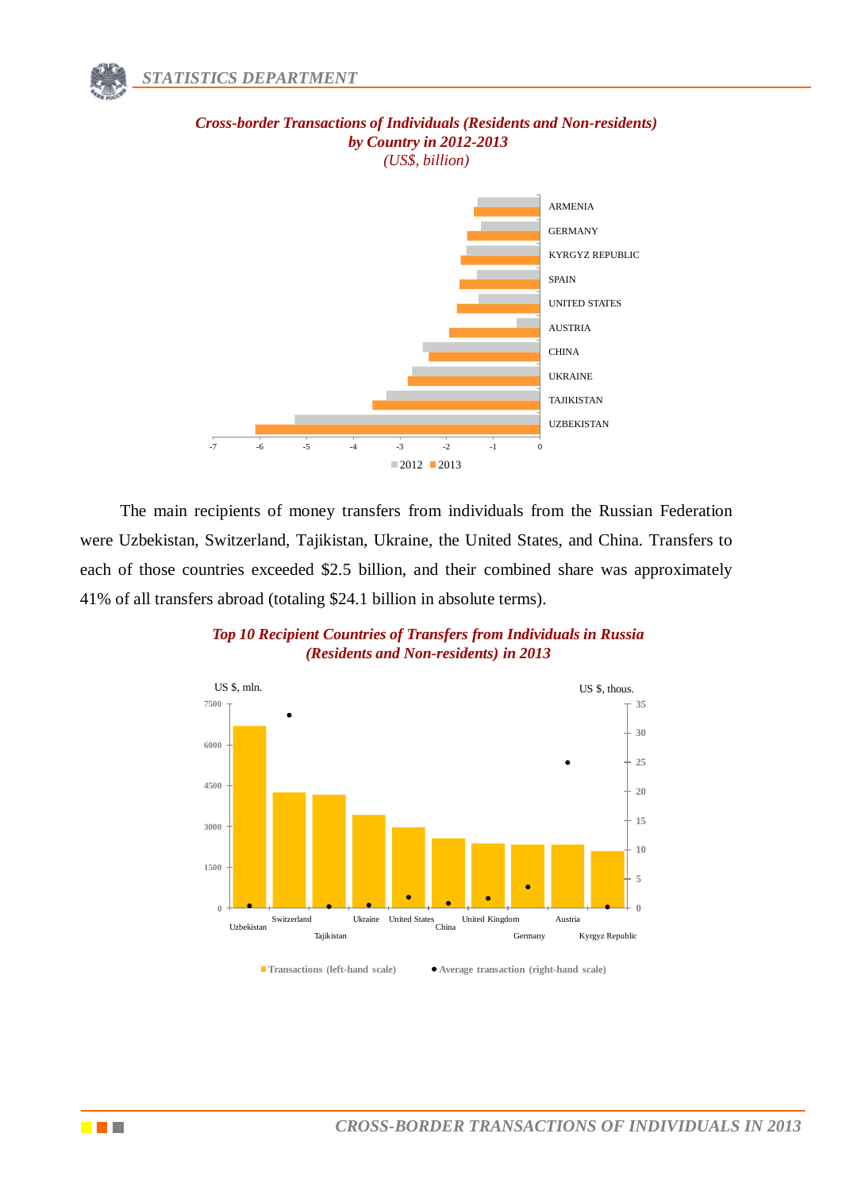# *by Country in 2012-2013 (US\$, billion)*  UZBEKISTAN TAJIKISTAN UKRAINE CHINA AUSTRIA UNITED STATES SPAIN KYRGYZ REPUBLIC GERMANY ARMENIA

*Cross-border Transactions of Individuals (Residents and Non-residents)*

The main recipients of money transfers from individuals from the Russian Federation were Uzbekistan, Switzerland, Tajikistan, Ukraine, the United States, and China. Transfers to each of those countries exceeded \$2.5 billion, and their combined share was approximately 41% of all transfers abroad (totaling \$24.1 billion in absolute terms).

 $2012 - 2013$ 

 $-7$   $-6$   $-5$   $-4$   $-3$   $-2$   $-1$  0

*Top 10 Recipient Countries of Transfers from Individuals in Russia (Residents and Non-residents) in 2013*



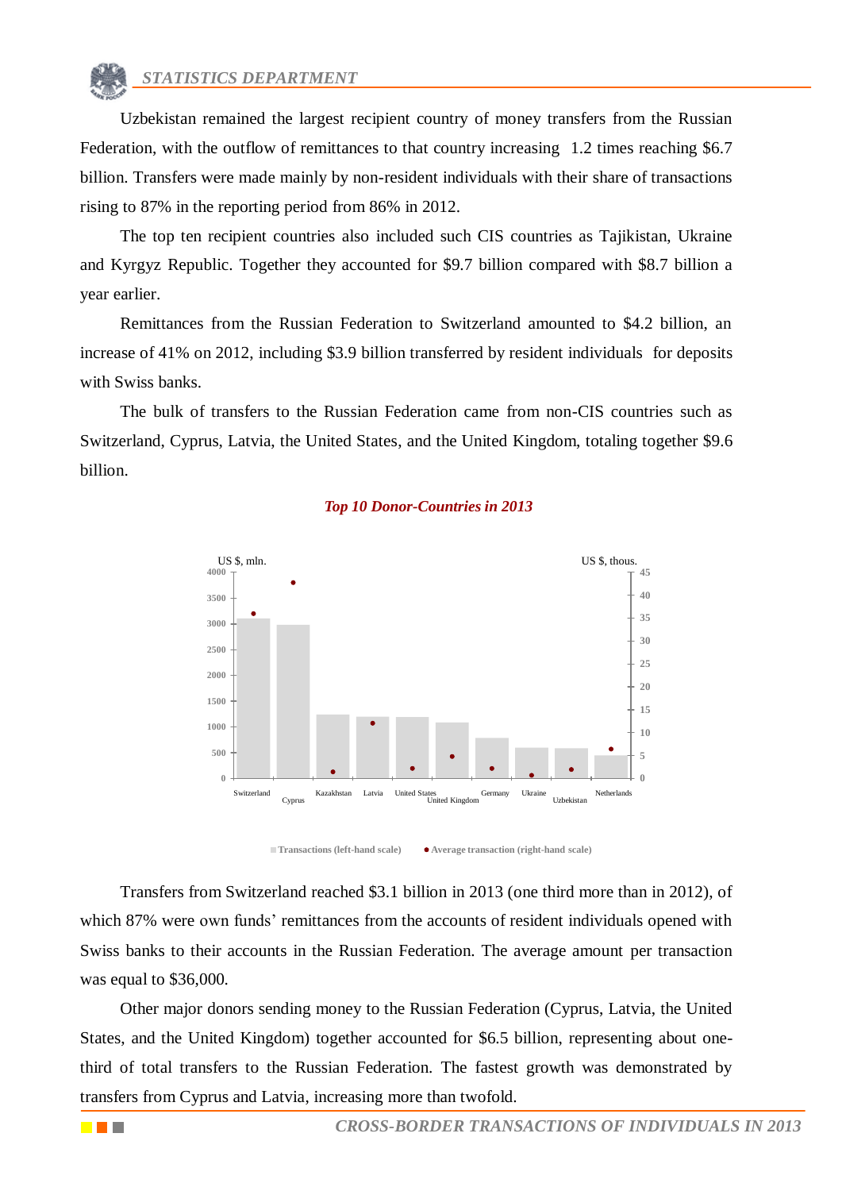Uzbekistan remained the largest recipient country of money transfers from the Russian Federation, with the outflow of remittances to that country increasing 1.2 times reaching \$6.7 billion. Transfers were made mainly by non-resident individuals with their share of transactions rising to 87% in the reporting period from 86% in 2012.

The top ten recipient countries also included such CIS countries as Tajikistan, Ukraine and Kyrgyz Republic. Together they accounted for \$9.7 billion compared with \$8.7 billion a year earlier.

Remittances from the Russian Federation to Switzerland amounted to \$4.2 billion, an increase of 41% on 2012, including \$3.9 billion transferred by resident individuals for deposits with Swiss banks.

The bulk of transfers to the Russian Federation came from non-CIS countries such as Switzerland, Cyprus, Latvia, the United States, and the United Kingdom, totaling together \$9.6 billion.



#### *Top 10 Donor-Countries in 2013*

Transfers from Switzerland reached \$3.1 billion in 2013 (one third more than in 2012), of which 87% were own funds' remittances from the accounts of resident individuals opened with Swiss banks to their accounts in the Russian Federation. The average amount per transaction was equal to \$36,000.

Other major donors sending money to the Russian Federation (Cyprus, Latvia, the United States, and the United Kingdom) together accounted for \$6.5 billion, representing about onethird of total transfers to the Russian Federation. The fastest growth was demonstrated by transfers from Cyprus and Latvia, increasing more than twofold.

<u>e pr</u>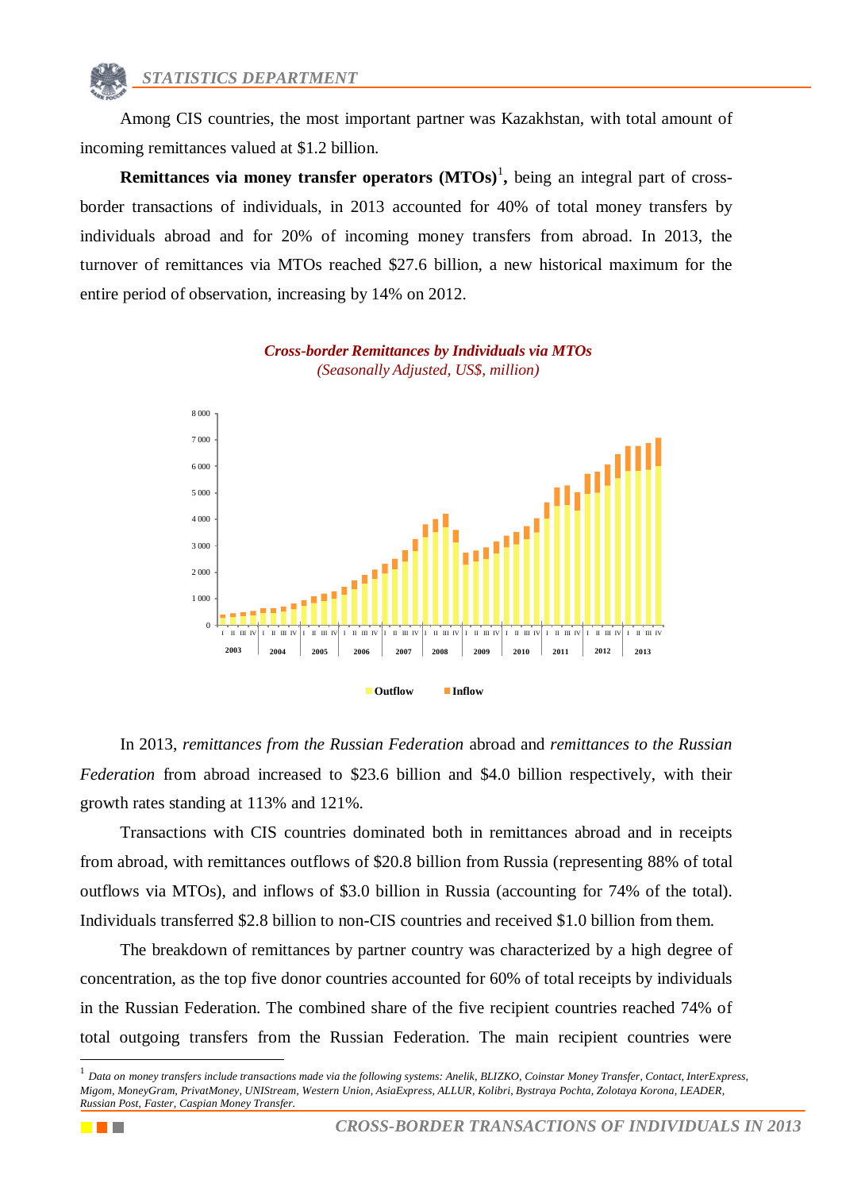Among CIS countries, the most important partner was Kazakhstan, with total amount of incoming remittances valued at \$1.2 billion.

**Remittances via money transfer operators (MTOs)<sup>1</sup>, being an integral part of cross**border transactions of individuals, in 2013 accounted for 40% of total money transfers by individuals abroad and for 20% of incoming money transfers from abroad. In 2013, the turnover of remittances via MTOs reached \$27.6 billion, a new historical maximum for the entire period of observation, increasing by 14% on 2012.



*Cross-border Remittances by Individuals via MTOs (Seasonally Adjusted, US\$, million)*

In 2013, *remittances from the Russian Federation* abroad and *remittances to the Russian Federation* from abroad increased to \$23.6 billion and \$4.0 billion respectively, with their growth rates standing at 113% and 121%.

Transactions with CIS countries dominated both in remittances abroad and in receipts from abroad, with remittances outflows of \$20.8 billion from Russia (representing 88% of total outflows via MTOs), and inflows of \$3.0 billion in Russia (accounting for 74% of the total). Individuals transferred \$2.8 billion to non-CIS countries and received \$1.0 billion from them.

The breakdown of remittances by partner country was characterized by a high degree of concentration, as the top five donor countries accounted for 60% of total receipts by individuals in the Russian Federation. The combined share of the five recipient countries reached 74% of total outgoing transfers from the Russian Federation. The main recipient countries were

1

<sup>&</sup>lt;sup>1</sup> Data on money transfers include transactions made via the following systems: Anelik, BLIZKO, Coinstar Money Transfer, Contact, InterExpress, *Migom, MoneyGram, PrivatMoney, UNIStream, Western Union, AsiaExpress, ALLUR, Kolibri, Bystraya Pochta, Zolotaya Korona, LEADER, Russian Post, Faster, Caspian Money Transfer.*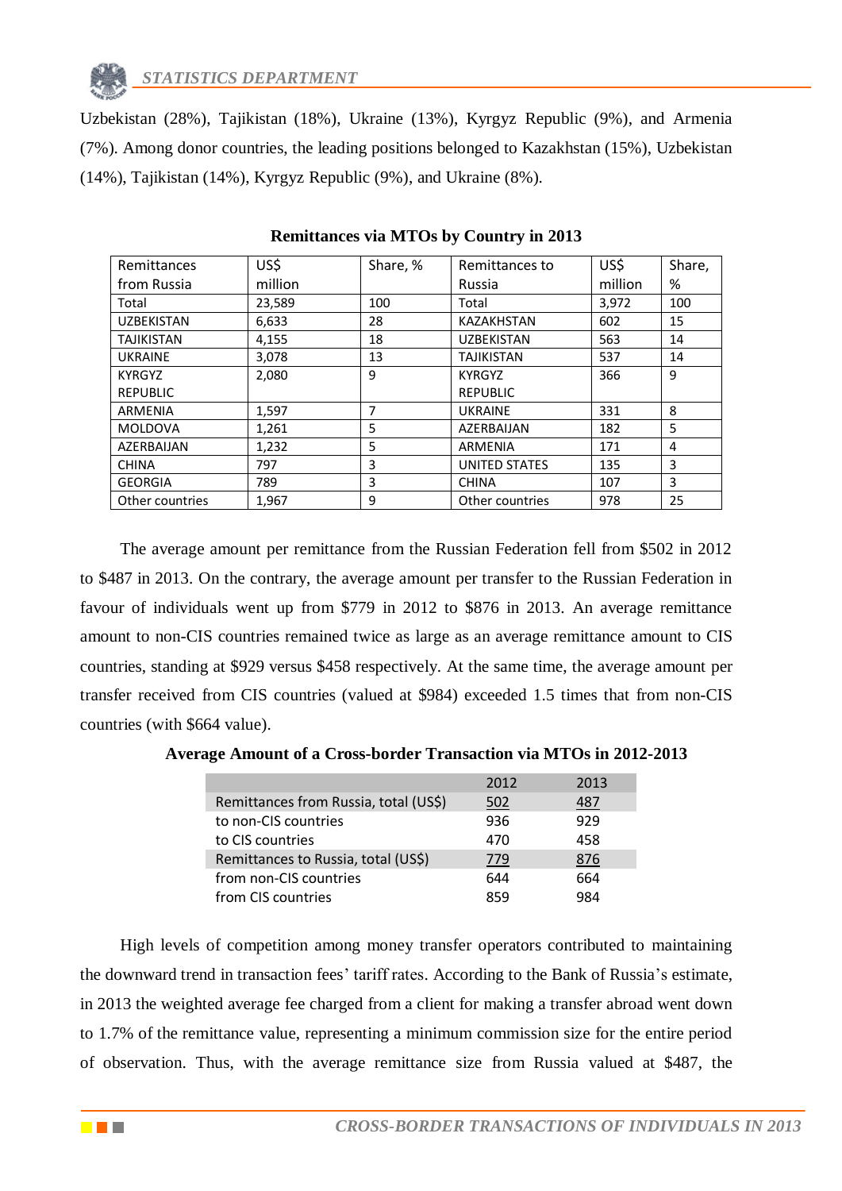

Uzbekistan (28%), Tajikistan (18%), Ukraine (13%), Kyrgyz Republic (9%), and Armenia (7%). Among donor countries, the leading positions belonged to Kazakhstan (15%), Uzbekistan (14%), Tajikistan (14%), Kyrgyz Republic (9%), and Ukraine (8%).

| Remittances       | US\$    | Share, % | Remittances to    | US\$    | Share, |
|-------------------|---------|----------|-------------------|---------|--------|
| from Russia       | million |          | Russia            | million | %      |
| Total             | 23,589  | 100      | Total             | 3,972   | 100    |
| <b>UZBEKISTAN</b> | 6,633   | 28       | <b>KAZAKHSTAN</b> | 602     | 15     |
| <b>TAJIKISTAN</b> | 4,155   | 18       | <b>UZBEKISTAN</b> | 563     | 14     |
| <b>UKRAINE</b>    | 3,078   | 13       | <b>TAJIKISTAN</b> | 537     | 14     |
| <b>KYRGYZ</b>     | 2,080   | 9        | <b>KYRGYZ</b>     | 366     | 9      |
| <b>REPUBLIC</b>   |         |          | <b>REPUBLIC</b>   |         |        |
| ARMENIA           | 1,597   | 7        | <b>UKRAINE</b>    | 331     | 8      |
| <b>MOLDOVA</b>    | 1,261   | 5        | AZERBAIJAN        | 182     | 5      |
| AZERBAIJAN        | 1,232   | 5        | ARMENIA           | 171     | 4      |
| <b>CHINA</b>      | 797     | 3        | UNITED STATES     | 135     | 3      |
| <b>GEORGIA</b>    | 789     | 3        | <b>CHINA</b>      | 107     | 3      |
| Other countries   | 1.967   | 9        | Other countries   | 978     | 25     |

**Remittances via MTOs by Country in 2013**

The average amount per remittance from the Russian Federation fell from \$502 in 2012 to \$487 in 2013. On the contrary, the average amount per transfer to the Russian Federation in favour of individuals went up from \$779 in 2012 to \$876 in 2013. An average remittance amount to non-CIS countries remained twice as large as an average remittance amount to CIS countries, standing at \$929 versus \$458 respectively. At the same time, the average amount per transfer received from CIS countries (valued at \$984) exceeded 1.5 times that from non-CIS countries (with \$664 value).

**Average Amount of a Cross-border Transaction via MTOs in 2012-2013**

|                                       | 2012 | 2013 |
|---------------------------------------|------|------|
| Remittances from Russia, total (US\$) | 502  | 487  |
| to non-CIS countries                  | 936  | 929  |
| to CIS countries                      | 470  | 458  |
| Remittances to Russia, total (US\$)   | 779  | 876  |
| from non-CIS countries                | 644  | 664  |
| from CIS countries                    | 859  | 984  |

High levels of competition among money transfer operators contributed to maintaining the downward trend in transaction fees' tariff rates. According to the Bank of Russia's estimate, in 2013 the weighted average fee charged from a client for making a transfer abroad went down to 1.7% of the remittance value, representing a minimum commission size for the entire period of observation. Thus, with the average remittance size from Russia valued at \$487, the